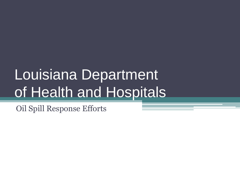# Louisiana Department of Health and Hospitals

Oil Spill Response Efforts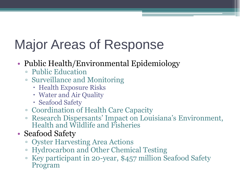# Major Areas of Response

### • Public Health/Environmental Epidemiology

- Public Education
- Surveillance and Monitoring
	- Health Exposure Risks
	- Water and Air Quality
	- Seafood Safety
- Coordination of Health Care Capacity
- Research Dispersants' Impact on Louisiana's Environment, Health and Wildlife and Fisheries
- Seafood Safety
	- Oyster Harvesting Area Actions
	- Hydrocarbon and Other Chemical Testing
	- Key participant in 20-year, \$457 million Seafood Safety Program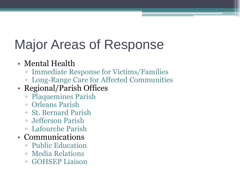# Major Areas of Response

### • Mental Health

- Immediate Response for Victims/Families
- Long-Range Care for Affected Communities

### • Regional/Parish Offices

- Plaquemines Parish
- Orleans Parish
- St. Bernard Parish
- Jefferson Parish
- Lafourche Parish
- Communications
	- Public Education
	- Media Relations
	- GOHSEP Liaison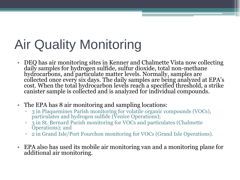# Air Quality Monitoring

- DEQ has air monitoring sites in Kenner and Chalmette Vista now collecting daily samples for hydrogen sulfide, sulfur dioxide, total non-methane hydrocarbons, and particulate matter levels. Normally, samples are collected once every six days. The daily samples are being analyzed at EPA's cost. When the total hydrocarbon levels reach a specified threshold, a strike canister sample is collected and is analyzed for individual compounds.
- The EPA has 8 air monitoring and sampling locations:
	- <sup>o</sup> 3 in Plaquemines Parish monitoring for volatile organic compounds (VOCs), particulates and hydrogen sulfide (Venice Operations);
	- 3 in St. Bernard Parish monitoring for VOCs and particulates (Chalmette Operations); and
	- 2 in Grand Isle/Port Fourchon monitoring for VOCs (Grand Isle Operations).
- EPA also has used its mobile air monitoring van and a monitoring plane for additional air monitoring.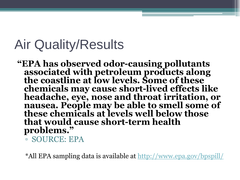## Air Quality/Results

**"EPA has observed odor-causing pollutants associated with petroleum products along the coastline at low levels. Some of these chemicals may cause short-lived effects like headache, eye, nose and throat irritation, or nausea. People may be able to smell some of these chemicals at levels well below those that would cause short-term health problems."**

▫ SOURCE: EPA

\*All EPA sampling data is available at <http://www.epa.gov/bpspill/>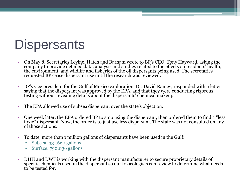## **Dispersants**

- On May 8, Secretaries Levine, Hatch and Barham wrote to BP's CEO, Tony Hayward, asking the company to provide detailed data, analysis and studies related to the effects on residents' health, the environment, and wildlife and fisheries of the oil dispersants being used. The secretaries requested BP cease dispersant use until the research was reviewed.
- BP's vice president for the Gulf of Mexico exploration, Dr. David Rainey, responded with a letter saying that the dispersant was approved by the EPA, and that they were conducting rigorous testing without revealing details about the dispersants' chemical makeup.
- The EPA allowed use of subsea dispersant over the state's objection.
- One week later, the EPA ordered BP to stop using the dispersant, then ordered them to find a "less toxic" dispersant. Now, the order is to just use less dispersant. The state was not consulted on any of those actions.
- To date, more than 1 million gallons of dispersants have been used in the Gulf:
	- Subsea: 331,660 gallons
	- Surface: 790,036 gallons
- DHH and DWF is working with the dispersant manufacturer to secure proprietary details of specific chemicals used in the dispersant so our toxicologists can review to determine what needs to be tested for.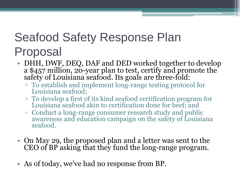### Seafood Safety Response Plan Proposal

- DHH, DWF, DEQ, DAF and DED worked together to develop a \$457 million, 20-year plan to test, certify and promote the safety of Louisiana seafood. Its goals are three-fold:
	- To establish and implement long-range testing protocol for Louisiana seafood;
	- To develop a first of its kind seafood certification program for Louisiana seafood akin to certification done for beef; and
	- Conduct a long-range consumer research study and public awareness and education campaign on the safety of Louisiana seafood.
- On May 29, the proposed plan and a letter was sent to the CEO of BP asking that they fund the long-range program.
- As of today, we've had no response from BP.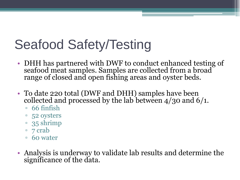# Seafood Safety/Testing

- DHH has partnered with DWF to conduct enhanced testing of seafood meat samples. Samples are collected from a broad range of closed and open fishing areas and oyster beds.
- To date 220 total (DWF and DHH) samples have been collected and processed by the lab between 4/30 and 6/1.
	- $\overline{6}$  66 finfish
	- 52 oysters
	- 35 shrimp
	- 7 crab
	- 60 water
- Analysis is underway to validate lab results and determine the significance of the data.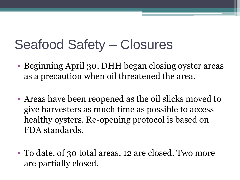# Seafood Safety – Closures

- Beginning April 30, DHH began closing oyster areas as a precaution when oil threatened the area.
- Areas have been reopened as the oil slicks moved to give harvesters as much time as possible to access healthy oysters. Re-opening protocol is based on FDA standards.
- To date, of 30 total areas, 12 are closed. Two more are partially closed.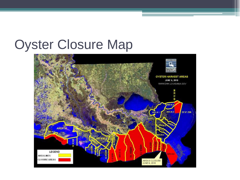### Oyster Closure Map

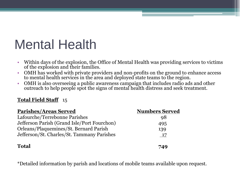## Mental Health

- Within days of the explosion, the Office of Mental Health was providing services to victims of the explosion and their families.
- OMH has worked with private providers and non-profits on the ground to enhance access to mental health services in the area and deployed state teams to the region.
- OMH is also overseeing a public awareness campaign that includes radio ads and other outreach to help people spot the signs of mental health distress and seek treatment.

#### **Total Field Staff** 15

| <b>Parishes/Areas Served</b>                | <b>Numbers Served</b> |
|---------------------------------------------|-----------------------|
| Lafourche/Terrebonne Parishes               | 98                    |
| Jefferson Parish (Grand Isle/Port Fourchon) | 495                   |
| Orleans/Plaquemines/St. Bernard Parish      | 139                   |
| Jefferson/St. Charles/St. Tammany Parishes  | - 17                  |
| <b>Total</b>                                | 749                   |

\*Detailed information by parish and locations of mobile teams available upon request.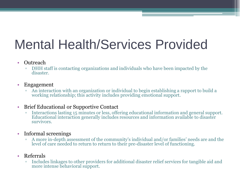# Mental Health/Services Provided

- Outreach
	- **□** DHH staff is contacting organizations and individuals who have been impacted by the disaster.
- Engagement
	- An interaction with an organization or individual to begin establishing a rapport to build a working relationship; this activity includes providing emotional support.

#### • Brief Educational or Supportive Contact

- Interactions lasting 15 minutes or less, offering educational information and general support. Educational interaction generally includes resources and information available to disaster survivors.
- Informal screenings
	- A more in-depth assessment of the community's individual and/or families' needs are and the level of care needed to return to return to their pre-disaster level of functioning.
- Referrals
	- Includes linkages to other providers for additional disaster relief services for tangible aid and more intense behavioral support.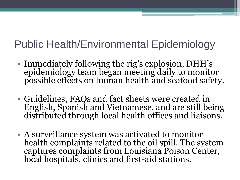### Public Health/Environmental Epidemiology

- Immediately following the rig's explosion, DHH's epidemiology team began meeting daily to monitor possible effects on human health and seafood safety.
- Guidelines, FAQs and fact sheets were created in English, Spanish and Vietnamese, and are still being distributed through local health offices and liaisons.
- A surveillance system was activated to monitor health complaints related to the oil spill. The system captures complaints from Louisiana Poison Center, local hospitals, clinics and first-aid stations.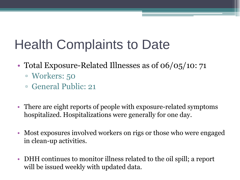# Health Complaints to Date

- Total Exposure-Related Illnesses as of 06/05/10: 71 ▫ Workers: 50
	- General Public: 21
- There are eight reports of people with exposure-related symptoms hospitalized. Hospitalizations were generally for one day.
- Most exposures involved workers on rigs or those who were engaged in clean-up activities.
- DHH continues to monitor illness related to the oil spill; a report will be issued weekly with updated data.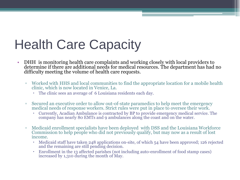# Health Care Capacity

- DHH is monitoring health care complaints and working closely with local providers to determine if there are additional needs for medical resources. The department has had no difficulty meeting the volume of health care requests.
	- Worked with HHS and local communities to find the appropriate location for a mobile health clinic, which is now located in Venice, La.
		- The clinic sees an average of 6 Louisiana residents each day.
	- Secured an executive order to allow out-of-state paramedics to help meet the emergency medical needs of response workers. Strict rules were put in place to oversee their work.
		- Currently, Acadian Ambulance is contracted by BP to provide emergency medical service. The company has nearly 80 EMTs and 9 ambulances along the coast and on the water.
	- Medicaid enrollment specialists have been deployed with DSS and the Louisiana Workforce Commission to help people who did not previously qualify, but may now as a result of lost income.
		- Medicaid staff have taken 248 applications on-site, of which 54 have been approved; 126 rejected and the remaining are still pending decision.
		- Enrollment in the 13 affected parishes (not including auto-enrollment of food stamp cases) increased by 1,310 during the month of May.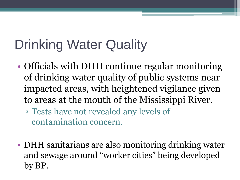# Drinking Water Quality

- Officials with DHH continue regular monitoring of drinking water quality of public systems near impacted areas, with heightened vigilance given to areas at the mouth of the Mississippi River.
	- Tests have not revealed any levels of contamination concern.
- DHH sanitarians are also monitoring drinking water and sewage around "worker cities" being developed by BP.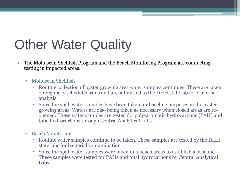# **Other Water Quality**

- The Molluscan Shellfish Program and the Beach Monitoring Program are conducting testing in impacted areas.
	- Molluscan Shellfish
		- Routine collection of oyster growing area water samples continues. These are taken on regularly scheduled runs and are submitted to the DHH state lab for bacterial analysis.
		- Since the spill, water samples have been taken for baseline purposes in the oyster growing areas. Waters are also being taken as necessary when closed areas are reopened. These water samples are tested for poly-aromatic hydrocarbons (PAH) and total hydrocarbons through Central Analytical Labs.
	- Beach Monitoring
		- Routine water samples continue to be taken. These samples are tested by the DHH state labs for bacterial contamination
		- Since the spill, water samples were taken in 4 beach areas to establish a baseline. These samples were tested for PAHs and total hydrocarbons by Central Analytical Labs.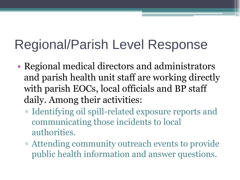# Regional/Parish Level Response

- Regional medical directors and administrators and parish health unit staff are working directly with parish EOCs, local officials and BP staff daily. Among their activities:
	- Identifying oil spill-related exposure reports and communicating those incidents to local authorities.
	- Attending community outreach events to provide public health information and answer questions.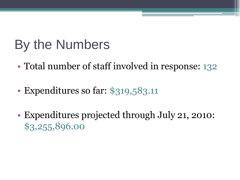## By the Numbers

- Total number of staff involved in response: 132
- Expenditures so far: \$319,583.11
- Expenditures projected through July 21, 2010: \$3,255,896.00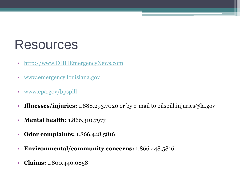## Resources

- [http://www.DHHEmergencyNews.com](http://www.dhhemergencynews.com/)
- [www.emergency.louisiana.gov](http://www.emergency.louisiana.gov/)
- [www.epa.gov/bpspill](http://www.epa.gov/bpspill)
- **Illnesses/injuries:** 1.888.293.7020 or by e-mail to oilspill.injuries@la.gov
- **Mental health:** 1.866.310.7977
- **Odor complaints:** 1.866.448.5816
- **Environmental/community concerns:** 1.866.448.5816
- **Claims:** 1.800.440.0858